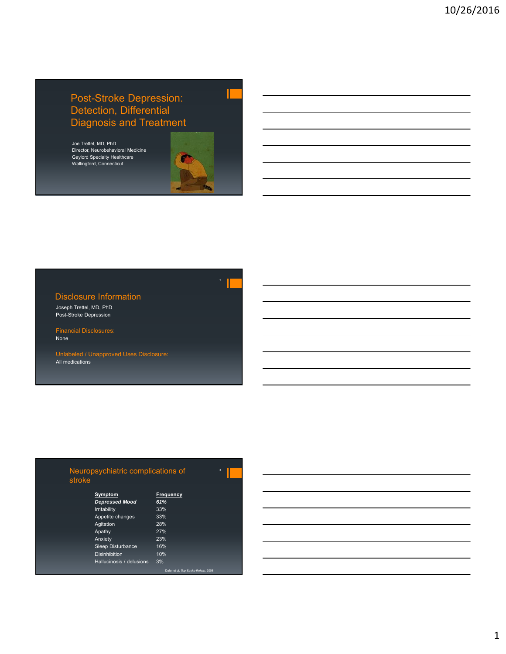# Post-Stroke Depression: Detection, Differential Diagnosis and Treatment

Joe Trettel, MD, PhD Director, Neurobehavioral Medicine Gaylord Specialty Healthcare Wallingford, Connecticut

## Disclosure Information

Joseph Trettel, MD, PhD Post-Stroke Depression

Financial Disclosures: None

Unlabeled / Unapproved Uses Disclosure: All medications

| Neuropsychiatric complications of |  |
|-----------------------------------|--|
| stroke                            |  |

| Symptom                  | Frequency |
|--------------------------|-----------|
| <b>Depressed Mood</b>    | 61%       |
| Irritability             | 33%       |
| Appetite changes         | 33%       |
| Agitation                | 28%       |
| Apathy                   | 27%       |
| Anxiety                  | 23%       |
| <b>Sleep Disturbance</b> | 16%       |
| <b>Disinhibition</b>     | 10%       |
| Hallucinosis / delusions | 3%        |

Dafer et al, *Top Stroke Rehab*, 2008

1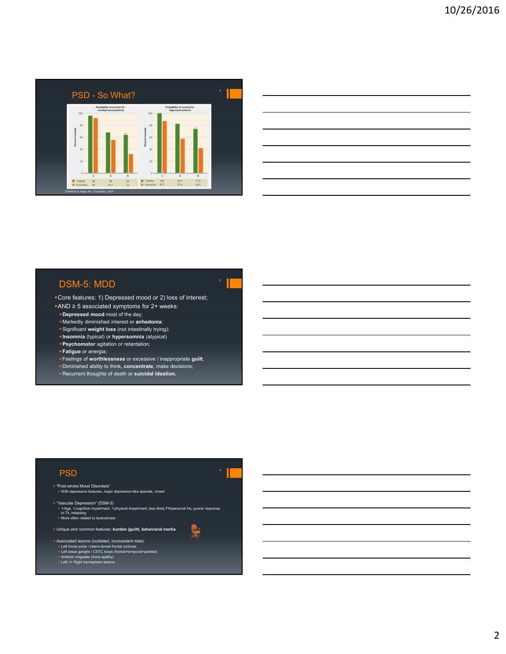

| <u> 1989 - Johann Stoff, deutscher Stoffen und der Stoffen und der Stoffen und der Stoffen und der Stoffen und der</u> |  |  |
|------------------------------------------------------------------------------------------------------------------------|--|--|
| <u> 1989 - Andrea Andrew Maria (h. 1989).</u>                                                                          |  |  |
| <u> 1989 - Johann Stoff, deutscher Stoff, der Stoff, der Stoff, der Stoff, der Stoff, der Stoff, der Stoff, der S</u>  |  |  |
| <u> 1989 - Andrea Santa Andrea Andrea Andrea Andrea Andrea Andrea Andrea Andrea Andrea Andrea Andrea Andrea Andr</u>   |  |  |
| <u> 1989 - Jan Samuel Barbara, margaret e a seu a componente de la componentación de la componentación de la compo</u> |  |  |
|                                                                                                                        |  |  |

# DSM-5: MDD

Core features: 1) Depressed mood *or* 2) loss of interest;

5

2

- AND ≥ 5 associated symptoms for 2+ weeks:
- **Depressed mood** most of the day;
- Markedly diminished interest or **anhedonia**;
- Significant **weight loss** (not intestinally trying);
- **Insomnia** (typical) or **hypersomnia** (atypical) **Psychomotor** agitation or retardation;
- 
- **Fatigue** or anergia;
- Feelings of **worthlessness** or excessive / inappropriate **guilt**;
- Diminished ability to think, **concentrate**, make decisions;
- Recurrent thoughts of death or **suicidal ideation.**

#### **PSD**

 "Post-stroke Mood Disorders" With depressive features, major depression-like episode, mixed

 "Vascular Depression" (DSM-5) ▪ û Age, û cognitive impairment, û physical impairment, less likely FH/personal Hx, poorer response<br>to Tx, relapsing<br>▪ More often related to leukoariosis

Unique and common features: **burden (guilt)**, **behavioral inertia** 

- 
- Associated lesions (outdated, inconsistent data):
- Left fronto-polar / latero-dorsal frontal corticies<br>• Left basal ganglia / CSTC loops (frontal>temporal>parietal)<br>• Anterior cingulate (more apathy)<br>• Left >> Right hemisphere lesions
-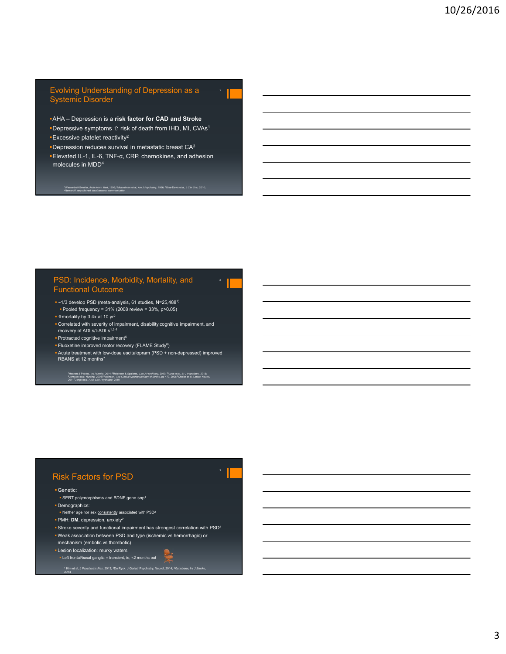#### Evolving Understanding of Depression as a Systemic Disorder

7

8

- AHA Depression is a **risk factor for CAD and Stroke**
- **-Depressive symptoms**  $\hat{u}$  **risk of death from IHD, MI, CVAs<sup>1</sup>** Excessive platelet reactivity2
- **Depression reduces survival in metastatic breast CA3**
- Elevated IL-1, IL-6, TNF-α, CRP, chemokines, and adhesion molecules in MDD4

<sub>.</sub><br>4Nemerof *Intern Med,* 1996; <sup>2</sup>Musselr<br>hed data/personal communication

#### PSD: Incidence, Morbidity, Mortality, and Functional Outcome

- ~1/3 develop PSD (meta-analysis, 61 studies, N=25,4881) Pooled frequency = 31% (2008 review = 33%, p>0.05)
- $\cdot$  û mortality by 3.4x at 10 yr<sup>2</sup>
- **Correlated with severity of impairment, disability,cognitive impairment, and recovery of ADLs/I-ADLs<sup>1,3,4</sup>**
- **Protracted cognitive impairment<sup>5</sup>**
- Fluoxetine improved motor recovery (FLAME Study6)
- Acute treatment with low-dose escitalopram (PSD + non-depressed) improved RBANS at 12 months<sup>7</sup>

'Hackett & Pickles, *Inti j Stroke, 2014; "*Robinson & Spalletta, *Can J Psychiatry, 2*010; "Ayrbe et al, *Br J Psychiatry, 2013;*<br>\*Johnson et al, Nursing, 2006:"Robinson, *The Clinical Neuropsychiatry of Stroke,* pp 470,

### Risk Factors for PSD

#### Genetic:

- SERT polymorphisms and BDNF gene snp<sup>1</sup>
- Demographics:
- Neither age nor sex consistently associated with PSD<sup>2</sup>
- PMH: **DM**, depression, anxiety2
- Stroke severity and functional impairment has strongest correlation with PSD<sup>3</sup> Weak association between PSD and type (ischemic vs hemorrhagic) or

<sup>1</sup> Kim et al, *J Psychiatric Res*, 2013; <sup>2</sup>De Ryck, J Geriatr Psychiatry, Neurol, 2014; <sup>3</sup>Kutlubaev, *Int J Stroke*,<br>2014

- mechanism (embolic vs thombotic) **- Lesion localization: murky waters**
- Left frontal/basal ganglia = transient, ie, <2 months out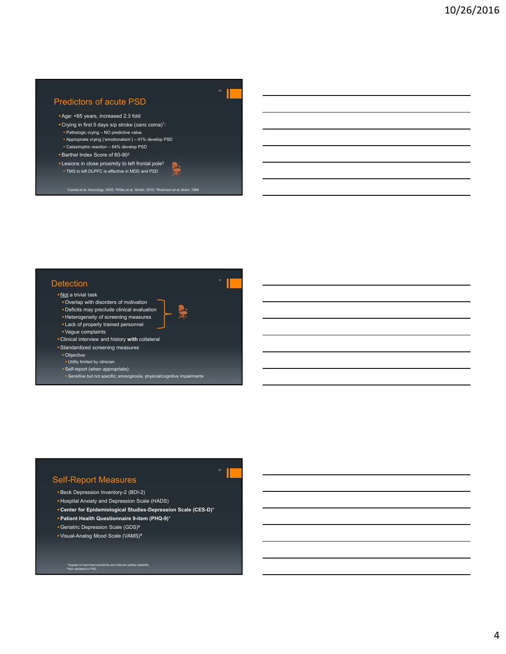## Predictors of acute PSD

- Age: <65 years, increased 2.3 fold
- Crying in first 5 days s/p stroke (*sans* coma)1:
- Pathologic crying NO predictive value
- Appropriate crying ('emotionalism') 41% develop PSD
- Catastrophic reaction 64% develop PSD Barthel Index Score of 60-90<sup>2</sup>
- 
- **Lesions in close proximity to left frontal pole** $3$ TMS to left DLPFC is effective in MDD and PSD

1Carota et al, *Neurology*, 2005; 2Wiley et al, *Stroke*, 2010; 3Robinson et al, *Brain*, 1984

### **Detection**

- Not a trivial task
- Overlap with disorders of motivation Deficits may preclude clinical evaluation
- **Heterogeneity of screening measures**
- Lack of properly trained personnel
- Vague complaints
- Clinical interview and history **with** collateral
- Standardized screening measures
- Objective:
- Utility limited by clinician
- Self-report (when appropriate):
- **Sensitive but not specific; anosognosia, physical/cognitive impairments**

# Self-Report Measures

- Beck Depression Inventory-2 (BDI-2)
- Hospital Anxiety and Depression Scale (HADS)
- **Center for Epidemiological Studies-Depression Scale (CES-D)**\*

12

- **Patient Health Questionnaire 9-item (PHQ-9)**\*
- Geriatric Depression Scale (GDS)#
- Visual-Analog Mood Scale (VAMS)#

#### \* Appear to have best se<br>\* Not validated in PSD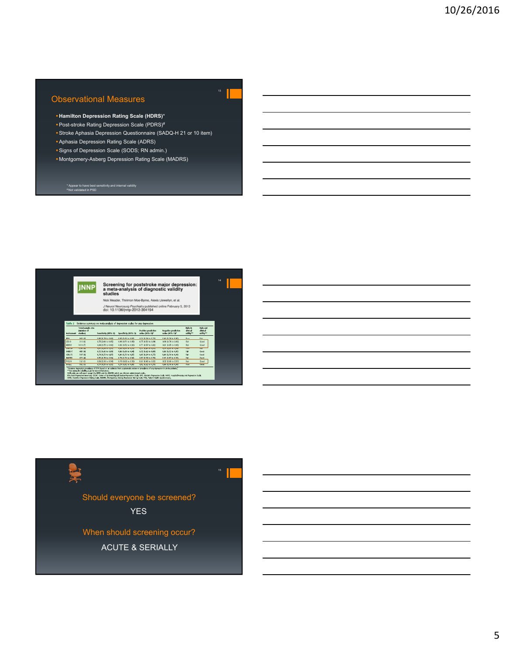## Observational Measures

- **Hamilton Depression Rating Scale (HDRS)**\*
- Post-stroke Rating Depression Scale (PDRS)#
- Stroke Aphasia Depression Questionnaire (SADQ-H 21 or 10 item)
- Aphasia Depression Rating Scale (ADRS)
- **Signs of Depression Scale (SODS; RN admin.)** Montgomery-Asberg Depression Rating Scale (MADRS)

\* Appear to have best sensitivity and internal validity # Not validated in PSD

|                 | studies<br>Nick Meader, Thirimon Moe-Byrne, Alexis Llewellyn, et al. |                                                                           |                                           |                                        |                                                                 |                       |                       |  |
|-----------------|----------------------------------------------------------------------|---------------------------------------------------------------------------|-------------------------------------------|----------------------------------------|-----------------------------------------------------------------|-----------------------|-----------------------|--|
|                 |                                                                      |                                                                           |                                           |                                        |                                                                 |                       |                       |  |
|                 |                                                                      |                                                                           | doi: 10.1136/jnnp-2012-304194             |                                        | J Neurol Neurosurg Psychiatry published online February 5, 2013 |                       |                       |  |
|                 |                                                                      |                                                                           |                                           |                                        |                                                                 |                       |                       |  |
| Table 2         | <b>Total sample size</b>                                             | Evidence summary on meta-analysis of depression scales for any depression |                                           |                                        |                                                                 | Rule-in               | Rule-out              |  |
| Instrument      | (number of<br>studies)                                               | Sensitivity (95% Cf)                                                      | Specificity (95% Cf)                      | Positive predictive<br>value (95% Cf)* | Negative predictive<br>value (95% CI)*                          | clinical<br>utility** | clinical<br>utility** |  |
| RDI             | 940.60                                                               | 0.86 (0.78 to 0.92)                                                       | 0.64.00 d0 to 0.831                       | 0.54 (0.39 to 0.73)                    | 0.90.00.79 to 0.955                                             | Poor                  | Fair                  |  |
| CES-D           | 314(4)                                                               | 0.75 (0.60 to 0.85)                                                       | $0.88$ $(0.71$ to $0.95)$                 | $0.75(0.50)$ to $0.89$                 | 0.88 (0.78 to 0.93)                                             | Fair                  | Good                  |  |
| HDRS1           | 1019 (7)                                                             | 0.84 (0.75 to 0.90)                                                       | $0.83$ $(0.72$ to $0.90)$                 | $0.71$ $(0.57$ to $0.82)$              | 0.91 (0.85 to 0.95)                                             | Eain                  | Good                  |  |
| <b>MAGNET</b>   | <b>STANDARD</b>                                                      | <b>CONTRACTOR CONTRACTOR</b>                                              | <b>MARKETON COMPANY OF</b>                | <b><i>UNTERFAINERS</i></b>             | <b>DISPONSIVOS PROVINCI</b>                                     | moss                  | <b>Taly</b>           |  |
| HADS-T          | 483 (4)                                                              | 0.72 (0.45 to 0.89)                                                       | 0.86 (0.69 to 0.94)                       | $0.720342$ to $0.881$                  | 0.86 (0.72 to 0.95)                                             | Exit                  | Good                  |  |
|                 | 507 (4)                                                              | 0.74 (0.55 to 0.87)                                                       | 0.80 (0.72 to 0.87)                       | 0.65 (0.49 to 0.77)                    | 0.86 (0.76 to 0.93).                                            | Fair                  | Good                  |  |
| 606.15          | 615 (4)                                                              | 0.85 (0.78 to 0.90)                                                       | 0.79 (0.70 to 0.86)                       | 0.67 (0.56 to 0.76)                    | 0.91 0.87 to 0.931                                              | Fair                  | Good                  |  |
| <b>MADRS</b>    |                                                                      | 0.86 (0.70 to 0.94)                                                       | 0.79 (0.60 to 0.90)<br>1076 1062 to 0.651 | $0.67(0.46)$ to $0.82$ }               | 0.92 (0.80 to 0.97)                                             | Fair                  | Good                  |  |
| PHO-9<br>115,52 | SS2 (3)<br>557731                                                    | <b>LOST RESTRICTOR</b>                                                    |                                           | 0.67.0042.00.00751                     | 0.88 0.74 to 0.965                                              | Poor                  | Good                  |  |



ACUTE & SERIALLY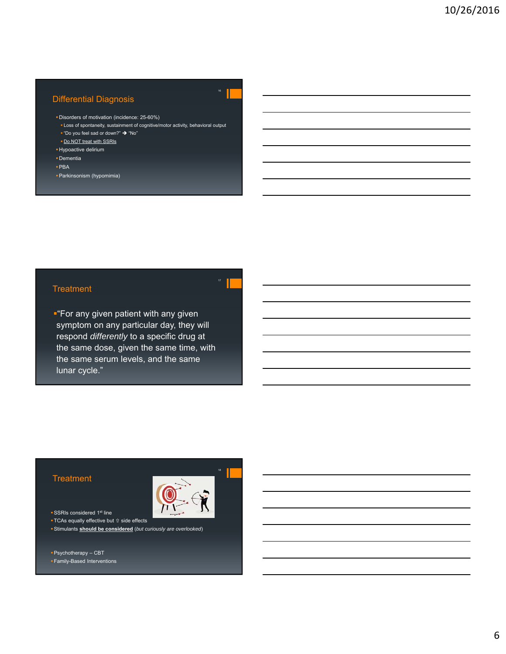# Differential Diagnosis

- Disorders of motivation (incidence: 25-60%)
- **Loss of spontaneity, sustainment of cognitive/motor activity, behavioral output** " "Do you feel sad or down?"  $\rightarrow$  "No"

16

- Do NOT treat with SSRIs
- **Hypoactive delirium**
- Dementia
- PBA
- Parkinsonism (hypomimia)

### **Treatment**

**"**For any given patient with any given symptom on any particular day, they will respond *differently* to a specific drug at the same dose, given the same time, with the same serum levels, and the same lunar cycle."

### **Treatment**



18

- **SSRIs considered 1st line**
- **TCAs equally effective but**  $\hat{u}$  **side effects**
- Stimulants **should be considered** (*but curiously are overlooked*)

Family-Based Interventions

Psychotherapy – CBT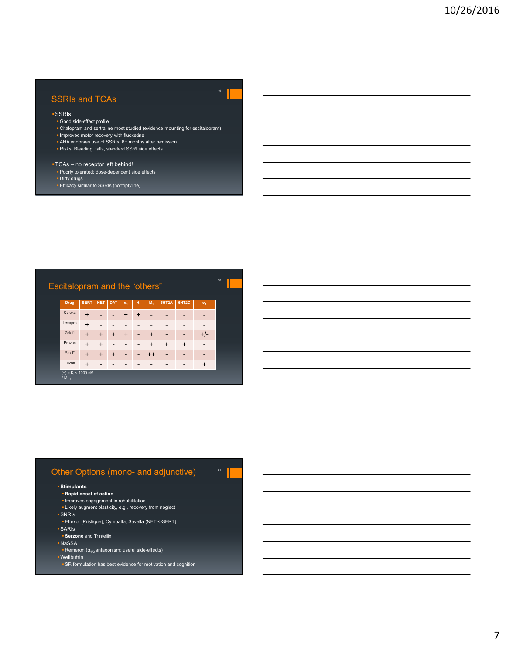### SSRIs and TCAs

#### SSRIs

- Good side-effect profile
- **Citalopram and sertraline most studied (evidence mounting for escitalopram)**
- Improved motor recovery with fluoxetine
- AHA endorses use of SSRIs; 6+ months after remission Risks: Bleeding, falls, standard SSRI side effects
- 
- TCAs no receptor left behind!
- **Poorly tolerated; dose-dependent side effects Dirty drugs**
- Efficacy similar to SSRIs (nortriptyline)

## Escitalopram and the "others"

| <b>Drug</b>                         | <b>SERT</b> | <b>NET</b> | <b>DAT</b> | $\alpha_1$ | $H_4$          | M <sub>1</sub> | 5HT2A     | 5HT2C     | $\sigma_{\tau}$ |
|-------------------------------------|-------------|------------|------------|------------|----------------|----------------|-----------|-----------|-----------------|
| Celexa                              | $\ddot{}$   |            |            | $\ddot{}$  | $\ddot{}$      |                |           |           |                 |
| Lexapro                             | $+$         |            |            |            |                |                |           |           |                 |
| Zoloft                              | $\ddot{}$   | $\ddot{}$  | $\ddot{}$  | $\ddot{}$  | $\overline{a}$ | $\ddot{}$      |           |           | $+/-$           |
| Prozac                              | $\ddot{}$   | $\ddot{}$  |            |            |                | $\ddot{}$      | $\ddot{}$ | $\ddot{}$ |                 |
| Paxil*                              | $\ddot{}$   | $\ddot{}$  | $\ddot{}$  |            |                | $++$           |           |           |                 |
| Luvox                               | $\ddot{}$   |            |            |            |                |                |           |           | $\ddot{}$       |
| $(+) = Ki < 1000$ nM<br>* $M_{1-5}$ |             |            |            |            |                |                |           |           |                 |

20

21

### Other Options (mono- and adjunctive)

#### **Stimulants**

- **Rapid onset of action**
- **Improves engagement in rehabilitation**
- **Likely augment plasticity, e.g., recovery from neglect** SNRIs
- Effexor (Pristique), Cymbalta, Savella (NET>>SERT)
- SARIs
- **Serzone** and Trintellix
- NaSSA
- **Remeron**  $\alpha_{1/2}$  antagonism; useful side-effects)
- Wellbutrin
- **SR** formulation has best evidence for motivation and cognition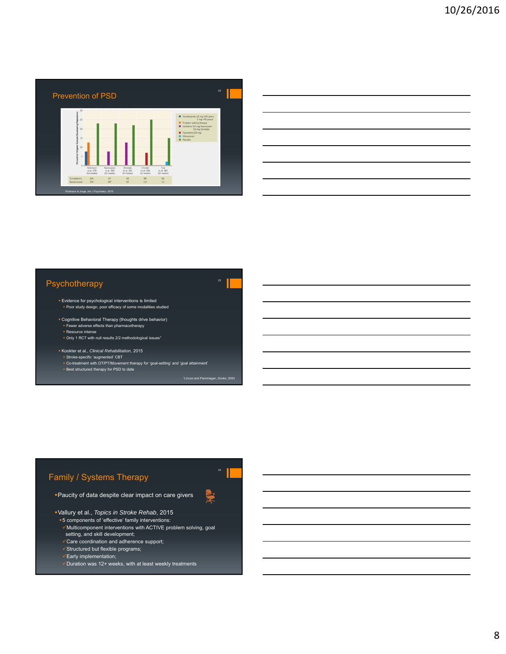



### Psychotherapy

- **Evidence for psychological interventions is limited** Poor study design, poor efficacy of some modalities studied
- Cognitive Behavioral Therapy (thoughts drive behavior) Fewer adverse effects than pharmacotherapy
- Resource intense
- Only 1 RCT with null results 2/2 methodological issues1
- Kookter et al.*, Clinical Rehabilitation*, 2015
	-
	- ∗ Stroke-specific 'augmented' CBT<br>∘ Co-treatment with OT/PT/Movement therapy for 'goal-setting' and 'goal attainment'<br>∘ Best structured therapy for PSD to date

23

<sup>1</sup>Lincon and Flannhagan, *Stroke*, 20

Þ

# Family / Systems Therapy

Paucity of data despite clear impact on care givers

Vallury et al., *Topics in Stroke Rehab*, 2015

- 5 components of 'effective' family interventions:
- Multicomponent interventions with ACTIVE problem solving, goal setting, and skill development;
- Care coordination and adherence support;
- $\checkmark$ Structured but flexible programs;
- Early implementation;
- Duration was 12+ weeks, with at least weekly treatments

8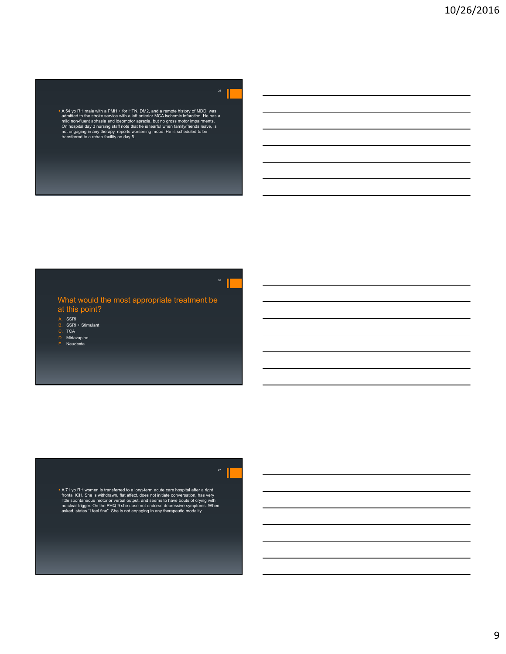\* A 54 yo RH male with a PMH + for HTN, DM2, and a remote history of MDD, was a amilited to the storke service with a left anterior MCA ischemic infraction. He has a mild non-fluent aphasia and ideomotor apraxia, but no gr

### What would the most appropriate treatment be at this point?

26

A. SSRI<br>B. SSRI + Stimulant<br>C. TCA<br>D. Mirtazapine

E. Neudexta

\* A 71 yo RH women is transferred to a long-term acute care hospital after a right<br>frontal ICH. She is withdrawn, flat affect, does not initiate conversation, has very<br>little spontaneous motor or verbal output, and seems t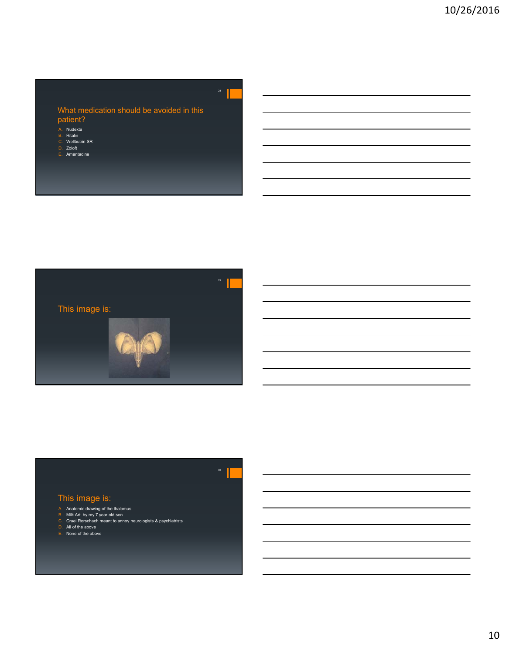### What medication should be avoided in this patient?

21

- 
- A. Nudexta B. Ritalin C. Wellbutrin SR D. Zoloft
- 
- E. Amantadine



# This image is:

- 
- A. Anatomic drawing of the thalamus B. Milk Art by my 7 year old son C. Cruel Rorschach meant to annoy neurologists & psychiatrists
- 
- D. All of the above<br>E. None of the above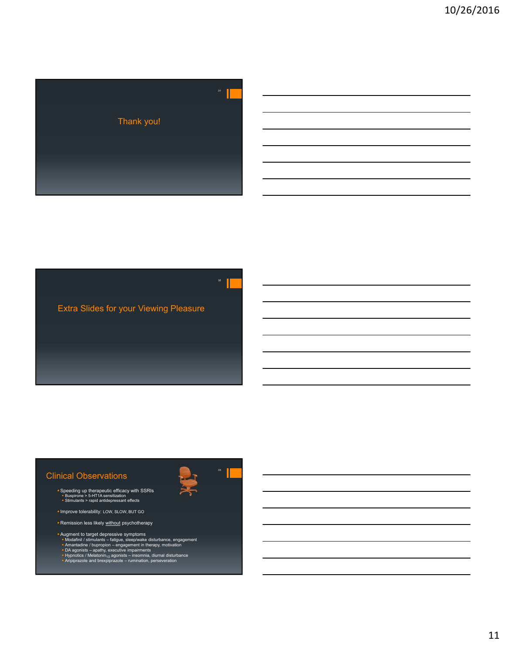





# Clinical Observations

- **Bioner Speeding up therapeutic efficacy with SSRIs**<br>Buspirone > 5-HT1A sensitization<br>Stimulants > rapid antidepressant effects
- **Improve tolerability: LOW, SLOW, BUT GO**
- **Remission less likely without psychotherapy**
- Augment to target depressive symptoms<br>
Modafinil / stimulants fatigue, sleep/wake disturbance, engagement<br>
Amantadine / bupropion engagement in therapy, motivation<br>
DA agonists apathy, executive impairments<br>
- 
-